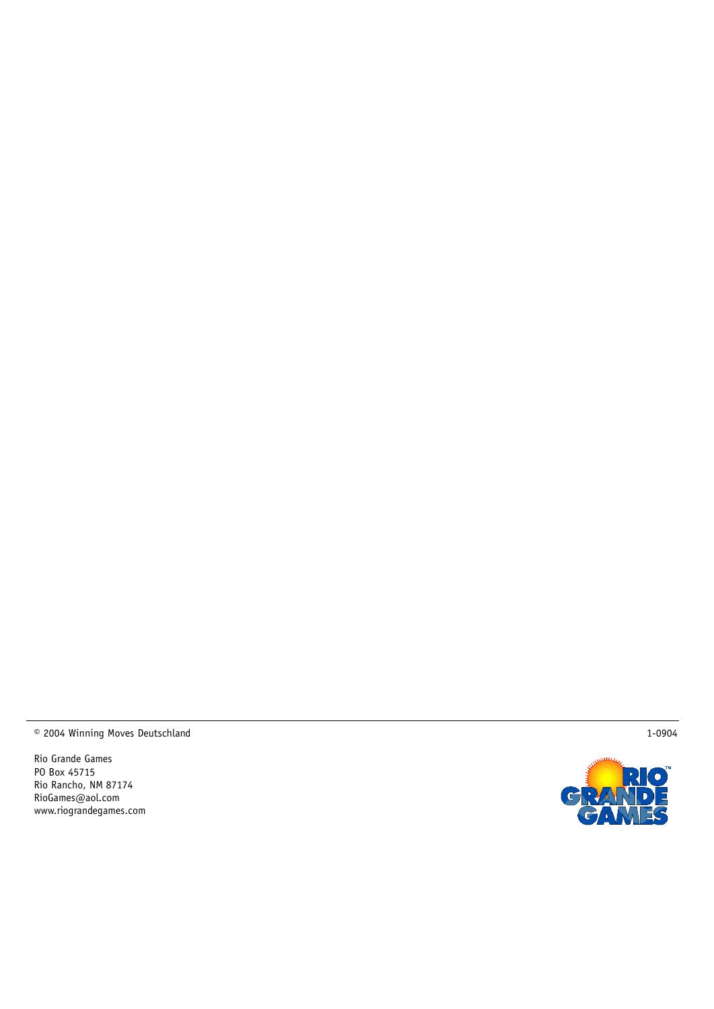© 2004 Winning Moves Deutschlan d

Rio Gran de Games PO Box 45715 Rio Rancho, NM 87174 RioGames@aol.com www.riogran degames.com



1-0904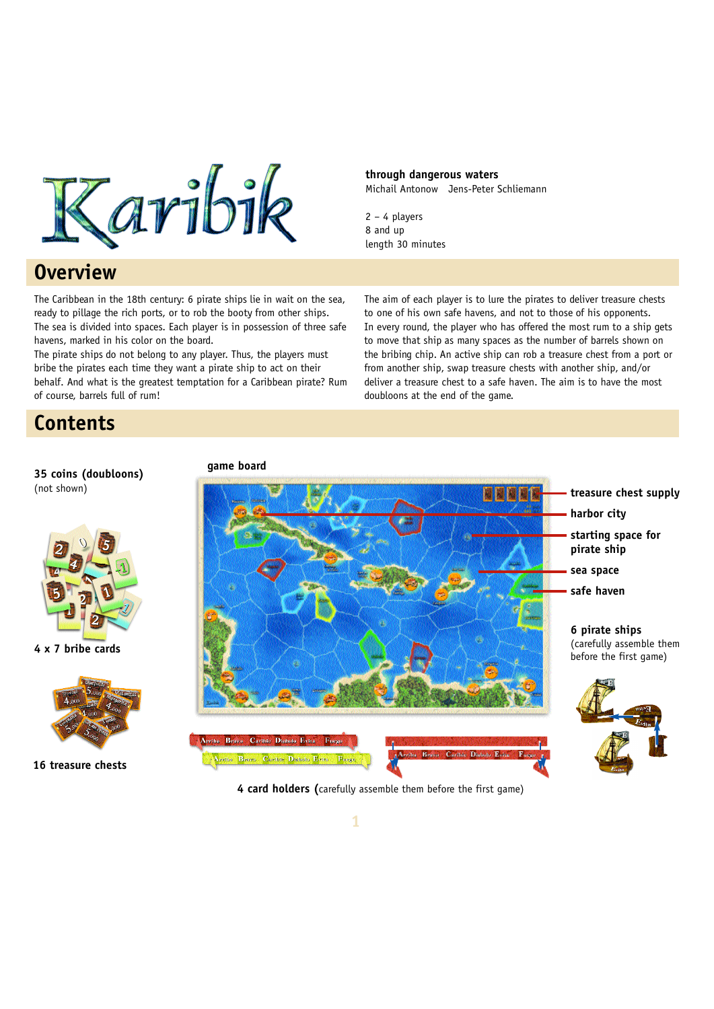

# **Overview**

The Caribbean in the 18th century: 6 pirate ships lie in wait on the sea, ready to pillage the rich ports, or to rob the booty from other ships. The sea is divided into spaces. Each player is in possession of three safe havens, marked in his color on the board.

The pirate ships do not belong to any player. Thus, the players must bribe the pirates each time they want a pirate ship to act on their behalf. And what is the greatest temptation for a Caribbean pirate? Rum of course, barrels full of rum!

**through dangerous waters** Michail Antonow Jens-Peter Schliemann

2 – 4 players 8 and up length 30 minutes

The aim of each player is to lure the pirates to deliver treasure chests to one of his own safe havens, and not to those of his opponents. In every round, the player who has offered the most rum to a ship gets to move that ship as many spaces as the number of barrels shown on the bribing chip. An active ship can rob a treasure chest from a port or from another ship, swap treasure chests with another ship, and/or deliver a treasure chest to a safe haven. The aim is to have the most doubloons at the end of the game.

# **Contents**

(not shown)



**35 coins (doubloons)**

**4 x 7 bribe cards**



**16 treasure chests**

**game board**



**4 card holders (**carefully assemble them before the first game)

**1**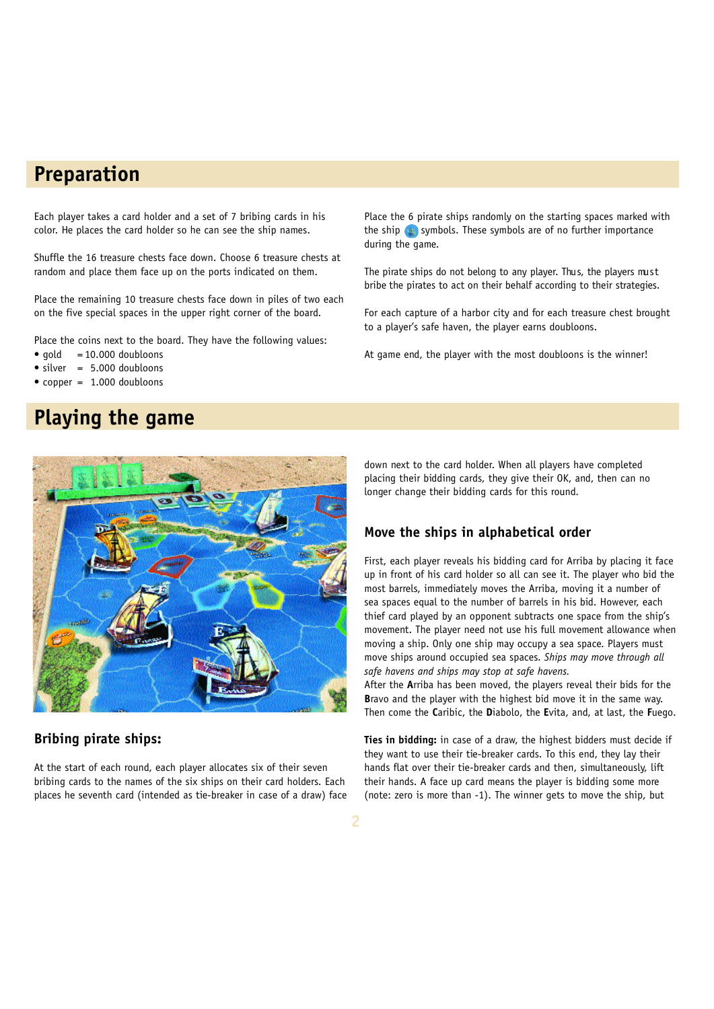# **Preparation**

Each player takes a card holder and a set of 7 bribing cards in his color. He places the card holder so he can see the ship names.

Shuffle the 16 treasure chests face down. Choose 6 treasure chests at random and place them face up on the ports indicated on them.

Place the remaining 10 treasure chests face down in piles of two each on the five special spaces in the upper right corner of the board.

Place the coins next to the board. They have the following values:

- $\bullet$  gold = 10.000 doubloons
- $\bullet$  silver = 5.000 doubloons
- copper  $= 1.000$  doubloons

# **Playing the game**



#### **Bribing pirate ships:**

At the start of each round, each player allocates six of their seven bribing cards to the names of the six ships on their card holders. Each places he seventh card (intended as tie-breaker in case of a draw) face Place the 6 pirate ships randomly on the starting spaces marked with the ship  $\langle \cdot \rangle$  symbols. These symbols are of no further importance during the game.

The pirate ships do not belong to any player. Thus, the players must bribe the pirates to act on their behalf according to their strategies.

For each capture of a harbor city and for each treasure chest brought to a player's safe haven, the player earns doubloons.

At game end, the player with the most doubloons is the winner!

down next to the card holder. When all players have completed placing their bidding cards, they give their OK, and, then can no longer change their bidding cards for this round.

## **Move the ships in alphabetical order**

First, each player reveals his bidding card for Arriba by placing it face up in front of his card holder so all can see it. The player who bid the most barrels, immediately moves the Arriba, moving it a number of sea spaces equal to the number of barrels in his bid. However, each thief card played by an opponent subtracts one space from the ship's movement. The player need not use his full movement allowance when moving a ship. Only one ship may occupy a sea space. Players must move ships around occupied sea spaces. *Ships may move through all safe havens and ships may stop at safe havens.*

After the **A**rriba has been moved, the players reveal their bids for the **B**ravo and the player with the highest bid move it in the same way. Then come the **C**aribic, the **D**iabolo, the **E**vita, and, at last, the **F**uego.

**Ties in bidding:** in case of a draw, the highest bidders must decide if they want to use their tie-breaker cards. To this end, they lay their hands flat over their tie-breaker cards and then, simultaneously, lift their hands. A face up card means the player is bidding some more (note: zero is more than -1). The winner gets to move the ship, but